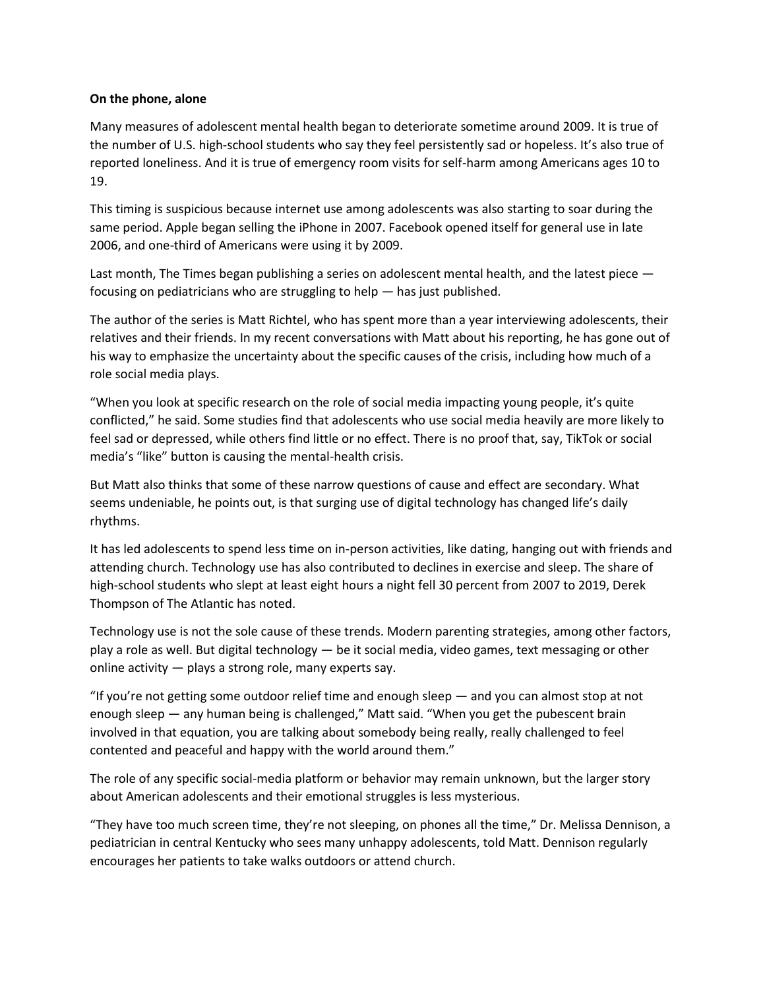## **On the phone, alone**

Many measures of adolescent mental health began to deteriorate sometime around 2009. It is true of the number of U.S. high-school students who say they feel persistently sad or hopeless. It's also true of reported loneliness. And it is true of emergency room visits for self-harm among Americans ages 10 to 19.

This timing is suspicious because internet use among adolescents was also starting to soar during the same period. Apple began selling the iPhone in 2007. Facebook opened itself for general use in late 2006, and one-third of Americans were using it by 2009.

Last month, The Times began publishing a series on adolescent mental health, and the latest piece  $$ focusing on pediatricians who are struggling to help — has just published.

The author of the series is Matt Richtel, who has spent more than a year interviewing adolescents, their relatives and their friends. In my recent conversations with Matt about his reporting, he has gone out of his way to emphasize the uncertainty about the specific causes of the crisis, including how much of a role social media plays.

"When you look at specific research on the role of social media impacting young people, it's quite conflicted," he said. Some studies find that adolescents who use social media heavily are more likely to feel sad or depressed, while others find little or no effect. There is no proof that, say, TikTok or social media's "like" button is causing the mental-health crisis.

But Matt also thinks that some of these narrow questions of cause and effect are secondary. What seems undeniable, he points out, is that surging use of digital technology has changed life's daily rhythms.

It has led adolescents to spend less time on in-person activities, like dating, hanging out with friends and attending church. Technology use has also contributed to declines in exercise and sleep. The share of high-school students who slept at least eight hours a night fell 30 percent from 2007 to 2019, Derek Thompson of The Atlantic has noted.

Technology use is not the sole cause of these trends. Modern parenting strategies, among other factors, play a role as well. But digital technology — be it social media, video games, text messaging or other online activity — plays a strong role, many experts say.

"If you're not getting some outdoor relief time and enough sleep — and you can almost stop at not enough sleep — any human being is challenged," Matt said. "When you get the pubescent brain involved in that equation, you are talking about somebody being really, really challenged to feel contented and peaceful and happy with the world around them."

The role of any specific social-media platform or behavior may remain unknown, but the larger story about American adolescents and their emotional struggles is less mysterious.

"They have too much screen time, they're not sleeping, on phones all the time," Dr. Melissa Dennison, a pediatrician in central Kentucky who sees many unhappy adolescents, told Matt. Dennison regularly encourages her patients to take walks outdoors or attend church.